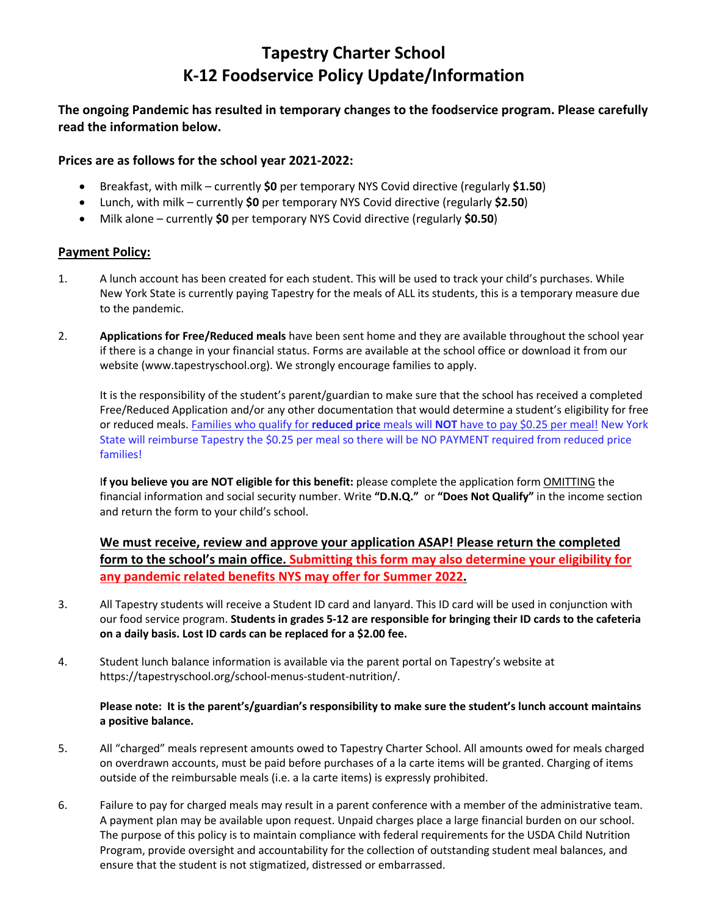# **Tapestry Charter School K-12 Foodservice Policy Update/Information**

### **The ongoing Pandemic has resulted in temporary changes to the foodservice program. Please carefully read the information below.**

#### **Prices are as follows for the school year 2021-2022:**

- Breakfast, with milk currently **\$0** per temporary NYS Covid directive (regularly **\$1.50**)
- Lunch, with milk currently **\$0** per temporary NYS Covid directive (regularly **\$2.50**)
- Milk alone currently **\$0** per temporary NYS Covid directive (regularly **\$0.50**)

#### **Payment Policy:**

- 1. A lunch account has been created for each student. This will be used to track your child's purchases. While New York State is currently paying Tapestry for the meals of ALL its students, this is a temporary measure due to the pandemic.
- 2. **Applications for Free/Reduced meals** have been sent home and they are available throughout the school year if there is a change in your financial status. Forms are available at the school office or download it from our website (www.tapestryschool.org). We strongly encourage families to apply.

It is the responsibility of the student's parent/guardian to make sure that the school has received a completed Free/Reduced Application and/or any other documentation that would determine a student's eligibility for free or reduced meals. Families who qualify for **reduced price** meals will **NOT** have to pay \$0.25 per meal! New York State will reimburse Tapestry the \$0.25 per meal so there will be NO PAYMENT required from reduced price families!

I**f you believe you are NOT eligible for this benefit:** please complete the application form OMITTING the financial information and social security number. Write **"D.N.Q."** or **"Does Not Qualify"** in the income section and return the form to your child's school.

**We must receive, review and approve your application ASAP! Please return the completed form to the school's main office. Submitting this form may also determine your eligibility for any pandemic related benefits NYS may offer for Summer 2022.**

- 3. All Tapestry students will receive a Student ID card and lanyard. This ID card will be used in conjunction with our food service program. **Students in grades 5-12 are responsible for bringing their ID cards to the cafeteria on a daily basis. Lost ID cards can be replaced for a \$2.00 fee.**
- 4. Student lunch balance information is available via the parent portal on Tapestry's website at https://tapestryschool.org/school-menus-student-nutrition/.

#### **Please note: It is the parent's/guardian's responsibility to make sure the student's lunch account maintains a positive balance.**

- 5. All "charged" meals represent amounts owed to Tapestry Charter School. All amounts owed for meals charged on overdrawn accounts, must be paid before purchases of a la carte items will be granted. Charging of items outside of the reimbursable meals (i.e. a la carte items) is expressly prohibited.
- 6. Failure to pay for charged meals may result in a parent conference with a member of the administrative team. A payment plan may be available upon request. Unpaid charges place a large financial burden on our school. The purpose of this policy is to maintain compliance with federal requirements for the USDA Child Nutrition Program, provide oversight and accountability for the collection of outstanding student meal balances, and ensure that the student is not stigmatized, distressed or embarrassed.